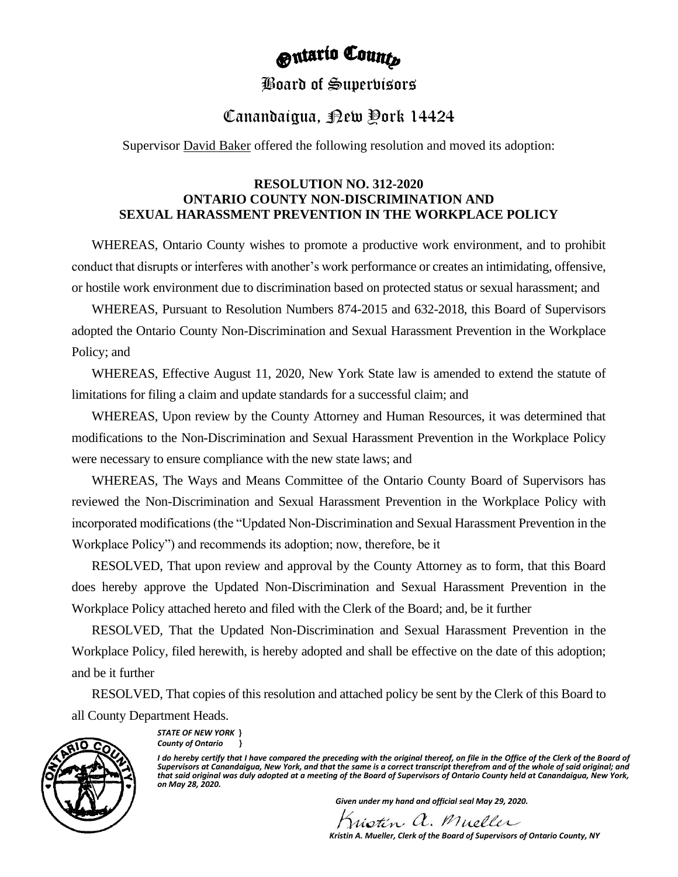# **Outario County**

### Board of Supervisors

## Canandaigua, <sub>Rew</sub> Pork 14424

Supervisor **David Baker** offered the following resolution and moved its adoption:

### **RESOLUTION NO. 312-2020 ONTARIO COUNTY NON-DISCRIMINATION AND SEXUAL HARASSMENT PREVENTION IN THE WORKPLACE POLICY**

WHEREAS, Ontario County wishes to promote a productive work environment, and to prohibit conduct that disrupts or interferes with another's work performance or creates an intimidating, offensive, or hostile work environment due to discrimination based on protected status or sexual harassment; and

WHEREAS, Pursuant to Resolution Numbers 874-2015 and 632-2018, this Board of Supervisors adopted the Ontario County Non-Discrimination and Sexual Harassment Prevention in the Workplace Policy; and

WHEREAS, Effective August 11, 2020, New York State law is amended to extend the statute of limitations for filing a claim and update standards for a successful claim; and

WHEREAS, Upon review by the County Attorney and Human Resources, it was determined that modifications to the Non-Discrimination and Sexual Harassment Prevention in the Workplace Policy were necessary to ensure compliance with the new state laws; and

WHEREAS, The Ways and Means Committee of the Ontario County Board of Supervisors has reviewed the Non-Discrimination and Sexual Harassment Prevention in the Workplace Policy with incorporated modifications (the "Updated Non-Discrimination and Sexual Harassment Prevention in the Workplace Policy") and recommends its adoption; now, therefore, be it

RESOLVED, That upon review and approval by the County Attorney as to form, that this Board does hereby approve the Updated Non-Discrimination and Sexual Harassment Prevention in the Workplace Policy attached hereto and filed with the Clerk of the Board; and, be it further

RESOLVED, That the Updated Non-Discrimination and Sexual Harassment Prevention in the Workplace Policy, filed herewith, is hereby adopted and shall be effective on the date of this adoption; and be it further

RESOLVED, That copies of this resolution and attached policy be sent by the Clerk of this Board to all County Department Heads.



*STATE OF NEW YORK* **}** *County of Ontario* **}**

I do hereby certify that I have compared the preceding with the original thereof, on file in the Office of the Clerk of the Board of Supervisors at Canandaigua, New York, and that the same is a correct transcript therefrom and of the whole of said original; and<br>that said original was duly adopted at a meeting of the Board of Supervisors of Ontario Count *on May 28, 2020.*

 *Given under my hand and official seal May 29, 2020.*

Wistin a. Mueller

 *Kristin A. Mueller, Clerk of the Board of Supervisors of Ontario County, NY*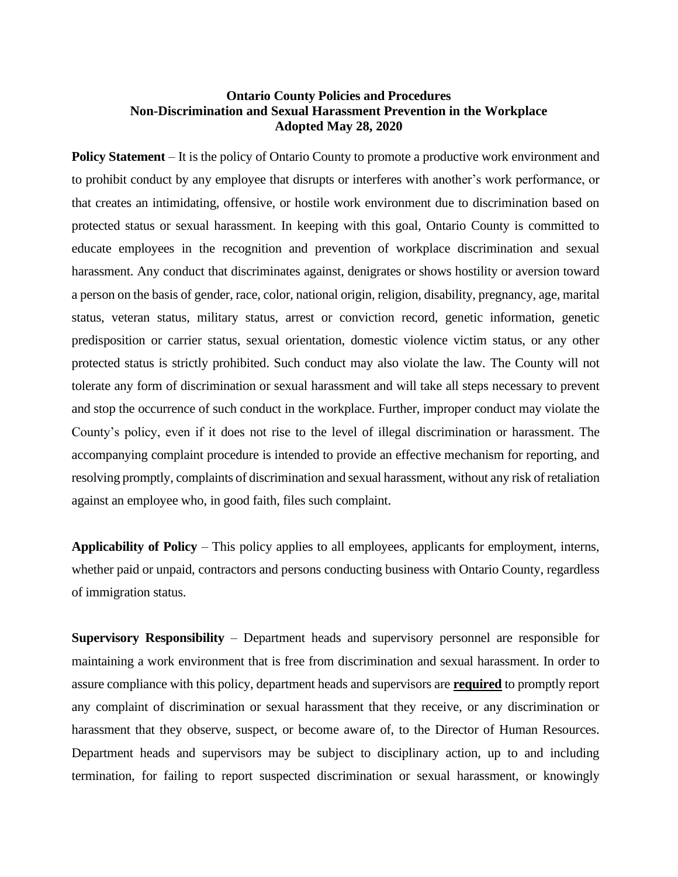### **Ontario County Policies and Procedures Non-Discrimination and Sexual Harassment Prevention in the Workplace Adopted May 28, 2020**

**Policy Statement** – It is the policy of Ontario County to promote a productive work environment and to prohibit conduct by any employee that disrupts or interferes with another's work performance, or that creates an intimidating, offensive, or hostile work environment due to discrimination based on protected status or sexual harassment. In keeping with this goal, Ontario County is committed to educate employees in the recognition and prevention of workplace discrimination and sexual harassment. Any conduct that discriminates against, denigrates or shows hostility or aversion toward a person on the basis of gender, race, color, national origin, religion, disability, pregnancy, age, marital status, veteran status, military status, arrest or conviction record, genetic information, genetic predisposition or carrier status, sexual orientation, domestic violence victim status, or any other protected status is strictly prohibited. Such conduct may also violate the law. The County will not tolerate any form of discrimination or sexual harassment and will take all steps necessary to prevent and stop the occurrence of such conduct in the workplace. Further, improper conduct may violate the County's policy, even if it does not rise to the level of illegal discrimination or harassment. The accompanying complaint procedure is intended to provide an effective mechanism for reporting, and resolving promptly, complaints of discrimination and sexual harassment, without any risk of retaliation against an employee who, in good faith, files such complaint.

**Applicability of Policy** – This policy applies to all employees, applicants for employment, interns, whether paid or unpaid, contractors and persons conducting business with Ontario County, regardless of immigration status.

**Supervisory Responsibility** – Department heads and supervisory personnel are responsible for maintaining a work environment that is free from discrimination and sexual harassment. In order to assure compliance with this policy, department heads and supervisors are **required** to promptly report any complaint of discrimination or sexual harassment that they receive, or any discrimination or harassment that they observe, suspect, or become aware of, to the Director of Human Resources. Department heads and supervisors may be subject to disciplinary action, up to and including termination, for failing to report suspected discrimination or sexual harassment, or knowingly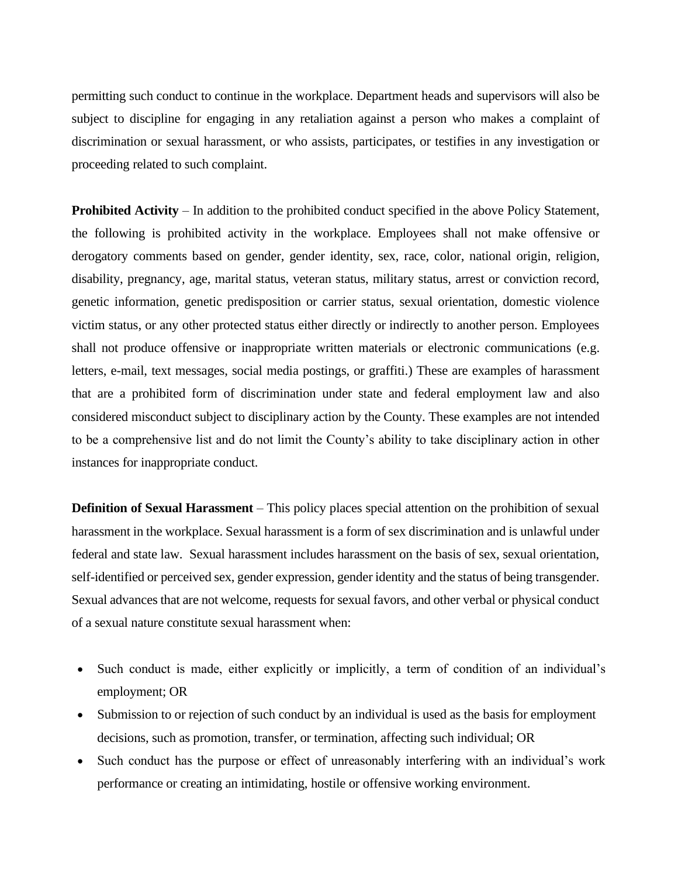permitting such conduct to continue in the workplace. Department heads and supervisors will also be subject to discipline for engaging in any retaliation against a person who makes a complaint of discrimination or sexual harassment, or who assists, participates, or testifies in any investigation or proceeding related to such complaint.

**Prohibited Activity** – In addition to the prohibited conduct specified in the above Policy Statement, the following is prohibited activity in the workplace. Employees shall not make offensive or derogatory comments based on gender, gender identity, sex, race, color, national origin, religion, disability, pregnancy, age, marital status, veteran status, military status, arrest or conviction record, genetic information, genetic predisposition or carrier status, sexual orientation, domestic violence victim status, or any other protected status either directly or indirectly to another person. Employees shall not produce offensive or inappropriate written materials or electronic communications (e.g. letters, e-mail, text messages, social media postings, or graffiti.) These are examples of harassment that are a prohibited form of discrimination under state and federal employment law and also considered misconduct subject to disciplinary action by the County. These examples are not intended to be a comprehensive list and do not limit the County's ability to take disciplinary action in other instances for inappropriate conduct.

**Definition of Sexual Harassment** – This policy places special attention on the prohibition of sexual harassment in the workplace. Sexual harassment is a form of sex discrimination and is unlawful under federal and state law. Sexual harassment includes harassment on the basis of sex, sexual orientation, self-identified or perceived sex, gender expression, gender identity and the status of being transgender. Sexual advances that are not welcome, requests for sexual favors, and other verbal or physical conduct of a sexual nature constitute sexual harassment when:

- Such conduct is made, either explicitly or implicitly, a term of condition of an individual's employment; OR
- Submission to or rejection of such conduct by an individual is used as the basis for employment decisions, such as promotion, transfer, or termination, affecting such individual; OR
- Such conduct has the purpose or effect of unreasonably interfering with an individual's work performance or creating an intimidating, hostile or offensive working environment.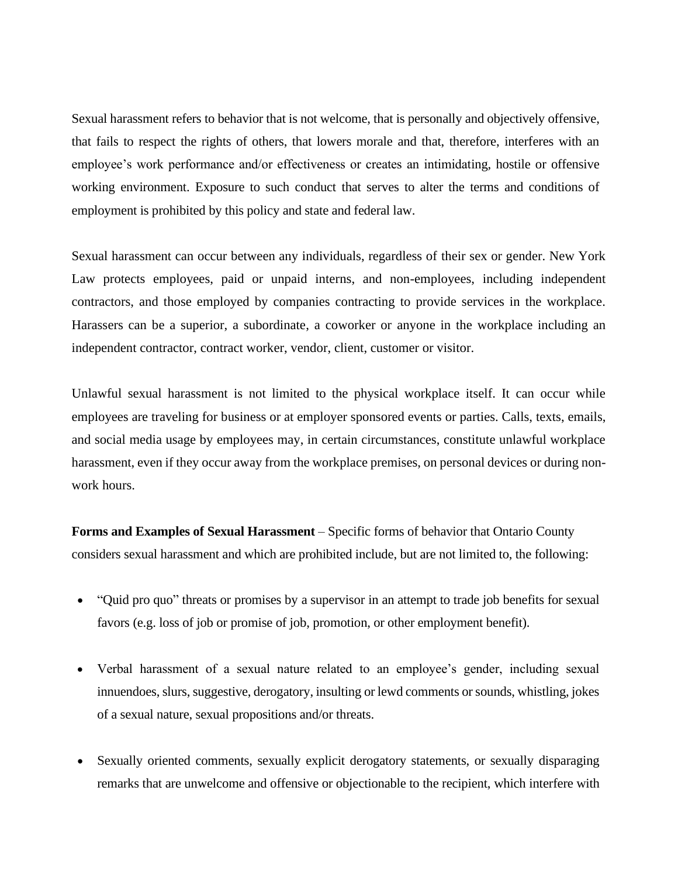Sexual harassment refers to behavior that is not welcome, that is personally and objectively offensive, that fails to respect the rights of others, that lowers morale and that, therefore, interferes with an employee's work performance and/or effectiveness or creates an intimidating, hostile or offensive working environment. Exposure to such conduct that serves to alter the terms and conditions of employment is prohibited by this policy and state and federal law.

Sexual harassment can occur between any individuals, regardless of their sex or gender. New York Law protects employees, paid or unpaid interns, and non-employees, including independent contractors, and those employed by companies contracting to provide services in the workplace. Harassers can be a superior, a subordinate, a coworker or anyone in the workplace including an independent contractor, contract worker, vendor, client, customer or visitor.

Unlawful sexual harassment is not limited to the physical workplace itself. It can occur while employees are traveling for business or at employer sponsored events or parties. Calls, texts, emails, and social media usage by employees may, in certain circumstances, constitute unlawful workplace harassment, even if they occur away from the workplace premises, on personal devices or during nonwork hours.

**Forms and Examples of Sexual Harassment** – Specific forms of behavior that Ontario County considers sexual harassment and which are prohibited include, but are not limited to, the following:

- "Quid pro quo" threats or promises by a supervisor in an attempt to trade job benefits for sexual favors (e.g. loss of job or promise of job, promotion, or other employment benefit).
- Verbal harassment of a sexual nature related to an employee's gender, including sexual innuendoes, slurs, suggestive, derogatory, insulting or lewd comments or sounds, whistling, jokes of a sexual nature, sexual propositions and/or threats.
- Sexually oriented comments, sexually explicit derogatory statements, or sexually disparaging remarks that are unwelcome and offensive or objectionable to the recipient, which interfere with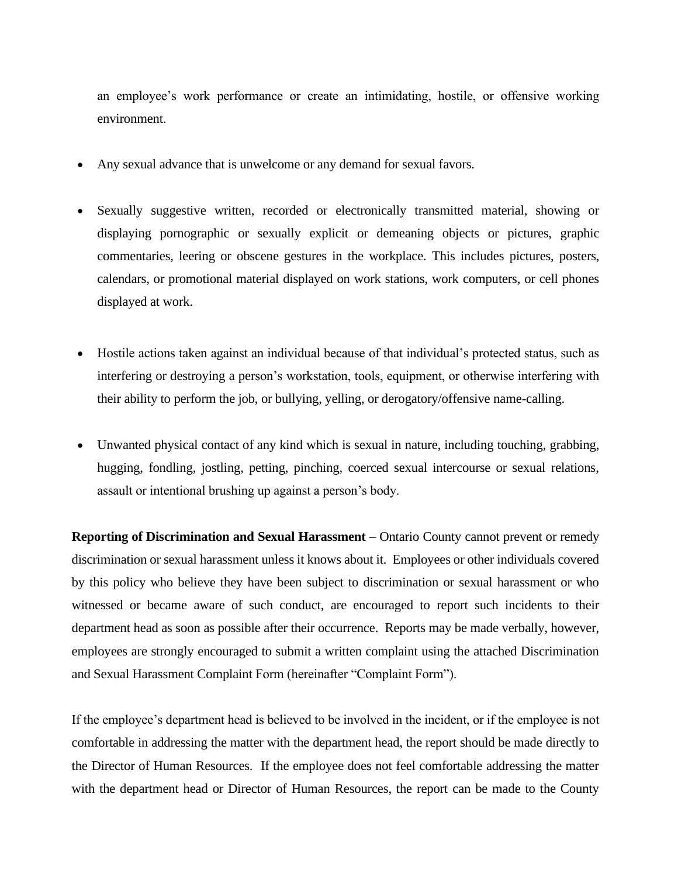an employee's work performance or create an intimidating, hostile, or offensive working environment.

- Any sexual advance that is unwelcome or any demand for sexual favors.
- Sexually suggestive written, recorded or electronically transmitted material, showing or displaying pornographic or sexually explicit or demeaning objects or pictures, graphic commentaries, leering or obscene gestures in the workplace. This includes pictures, posters, calendars, or promotional material displayed on work stations, work computers, or cell phones displayed at work.
- Hostile actions taken against an individual because of that individual's protected status, such as interfering or destroying a person's workstation, tools, equipment, or otherwise interfering with their ability to perform the job, or bullying, yelling, or derogatory/offensive name-calling.
- Unwanted physical contact of any kind which is sexual in nature, including touching, grabbing, hugging, fondling, jostling, petting, pinching, coerced sexual intercourse or sexual relations, assault or intentional brushing up against a person's body.

**Reporting of Discrimination and Sexual Harassment** – Ontario County cannot prevent or remedy discrimination or sexual harassment unless it knows about it. Employees or other individuals covered by this policy who believe they have been subject to discrimination or sexual harassment or who witnessed or became aware of such conduct, are encouraged to report such incidents to their department head as soon as possible after their occurrence. Reports may be made verbally, however, employees are strongly encouraged to submit a written complaint using the attached Discrimination and Sexual Harassment Complaint Form (hereinafter "Complaint Form").

If the employee's department head is believed to be involved in the incident, or if the employee is not comfortable in addressing the matter with the department head, the report should be made directly to the Director of Human Resources. If the employee does not feel comfortable addressing the matter with the department head or Director of Human Resources, the report can be made to the County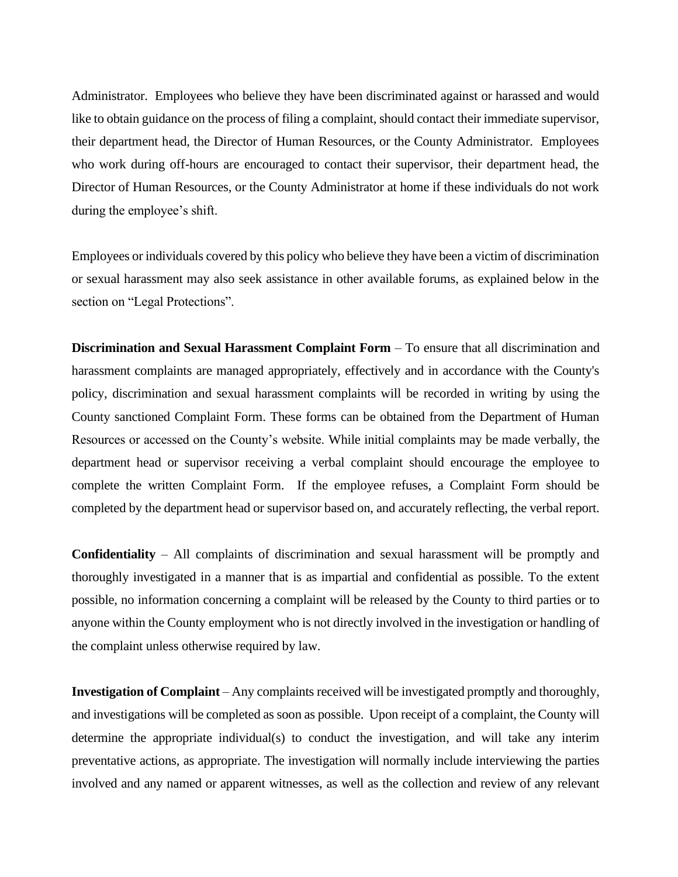Administrator. Employees who believe they have been discriminated against or harassed and would like to obtain guidance on the process of filing a complaint, should contact their immediate supervisor, their department head, the Director of Human Resources, or the County Administrator. Employees who work during off-hours are encouraged to contact their supervisor, their department head, the Director of Human Resources, or the County Administrator at home if these individuals do not work during the employee's shift.

Employees or individuals covered by this policy who believe they have been a victim of discrimination or sexual harassment may also seek assistance in other available forums, as explained below in the section on "Legal Protections".

**Discrimination and Sexual Harassment Complaint Form – To ensure that all discrimination and** harassment complaints are managed appropriately, effectively and in accordance with the County's policy, discrimination and sexual harassment complaints will be recorded in writing by using the County sanctioned Complaint Form. These forms can be obtained from the Department of Human Resources or accessed on the County's website. While initial complaints may be made verbally, the department head or supervisor receiving a verbal complaint should encourage the employee to complete the written Complaint Form. If the employee refuses, a Complaint Form should be completed by the department head or supervisor based on, and accurately reflecting, the verbal report.

**Confidentiality** – All complaints of discrimination and sexual harassment will be promptly and thoroughly investigated in a manner that is as impartial and confidential as possible. To the extent possible, no information concerning a complaint will be released by the County to third parties or to anyone within the County employment who is not directly involved in the investigation or handling of the complaint unless otherwise required by law.

**Investigation of Complaint** – Any complaints received will be investigated promptly and thoroughly, and investigations will be completed as soon as possible. Upon receipt of a complaint, the County will determine the appropriate individual(s) to conduct the investigation, and will take any interim preventative actions, as appropriate. The investigation will normally include interviewing the parties involved and any named or apparent witnesses, as well as the collection and review of any relevant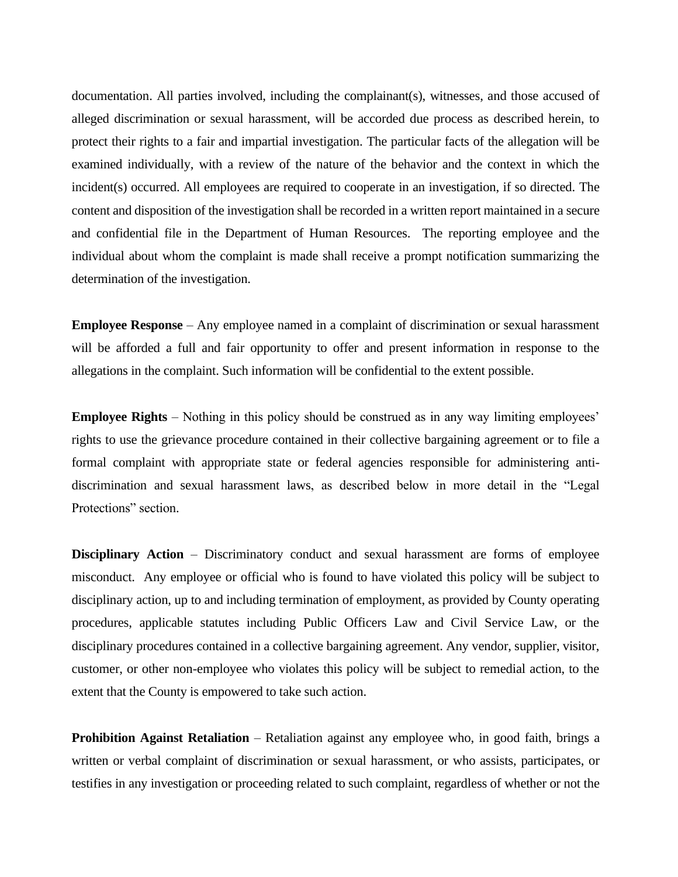documentation. All parties involved, including the complainant(s), witnesses, and those accused of alleged discrimination or sexual harassment, will be accorded due process as described herein, to protect their rights to a fair and impartial investigation. The particular facts of the allegation will be examined individually, with a review of the nature of the behavior and the context in which the incident(s) occurred. All employees are required to cooperate in an investigation, if so directed. The content and disposition of the investigation shall be recorded in a written report maintained in a secure and confidential file in the Department of Human Resources. The reporting employee and the individual about whom the complaint is made shall receive a prompt notification summarizing the determination of the investigation.

**Employee Response** – Any employee named in a complaint of discrimination or sexual harassment will be afforded a full and fair opportunity to offer and present information in response to the allegations in the complaint. Such information will be confidential to the extent possible.

**Employee Rights** – Nothing in this policy should be construed as in any way limiting employees' rights to use the grievance procedure contained in their collective bargaining agreement or to file a formal complaint with appropriate state or federal agencies responsible for administering antidiscrimination and sexual harassment laws, as described below in more detail in the "Legal Protections" section.

**Disciplinary Action** – Discriminatory conduct and sexual harassment are forms of employee misconduct. Any employee or official who is found to have violated this policy will be subject to disciplinary action, up to and including termination of employment, as provided by County operating procedures, applicable statutes including Public Officers Law and Civil Service Law, or the disciplinary procedures contained in a collective bargaining agreement. Any vendor, supplier, visitor, customer, or other non-employee who violates this policy will be subject to remedial action, to the extent that the County is empowered to take such action.

**Prohibition Against Retaliation** – Retaliation against any employee who, in good faith, brings a written or verbal complaint of discrimination or sexual harassment, or who assists, participates, or testifies in any investigation or proceeding related to such complaint, regardless of whether or not the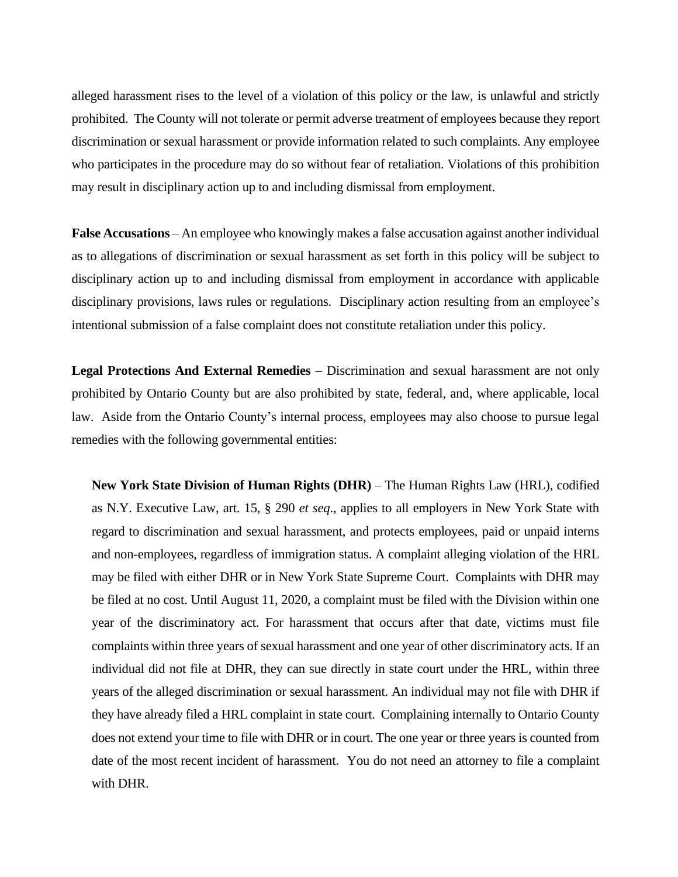alleged harassment rises to the level of a violation of this policy or the law, is unlawful and strictly prohibited. The County will not tolerate or permit adverse treatment of employees because they report discrimination or sexual harassment or provide information related to such complaints. Any employee who participates in the procedure may do so without fear of retaliation. Violations of this prohibition may result in disciplinary action up to and including dismissal from employment.

**False Accusations** – An employee who knowingly makes a false accusation against another individual as to allegations of discrimination or sexual harassment as set forth in this policy will be subject to disciplinary action up to and including dismissal from employment in accordance with applicable disciplinary provisions, laws rules or regulations. Disciplinary action resulting from an employee's intentional submission of a false complaint does not constitute retaliation under this policy.

**Legal Protections And External Remedies** – Discrimination and sexual harassment are not only prohibited by Ontario County but are also prohibited by state, federal, and, where applicable, local law. Aside from the Ontario County's internal process, employees may also choose to pursue legal remedies with the following governmental entities:

**New York State Division of Human Rights (DHR)** – The Human Rights Law (HRL), codified as N.Y. Executive Law, art. 15, § 290 *et seq*., applies to all employers in New York State with regard to discrimination and sexual harassment, and protects employees, paid or unpaid interns and non-employees, regardless of immigration status. A complaint alleging violation of the HRL may be filed with either DHR or in New York State Supreme Court. Complaints with DHR may be filed at no cost. Until August 11, 2020, a complaint must be filed with the Division within one year of the discriminatory act. For harassment that occurs after that date, victims must file complaints within three years of sexual harassment and one year of other discriminatory acts. If an individual did not file at DHR, they can sue directly in state court under the HRL, within three years of the alleged discrimination or sexual harassment. An individual may not file with DHR if they have already filed a HRL complaint in state court. Complaining internally to Ontario County does not extend your time to file with DHR or in court. The one year or three years is counted from date of the most recent incident of harassment. You do not need an attorney to file a complaint with DHR.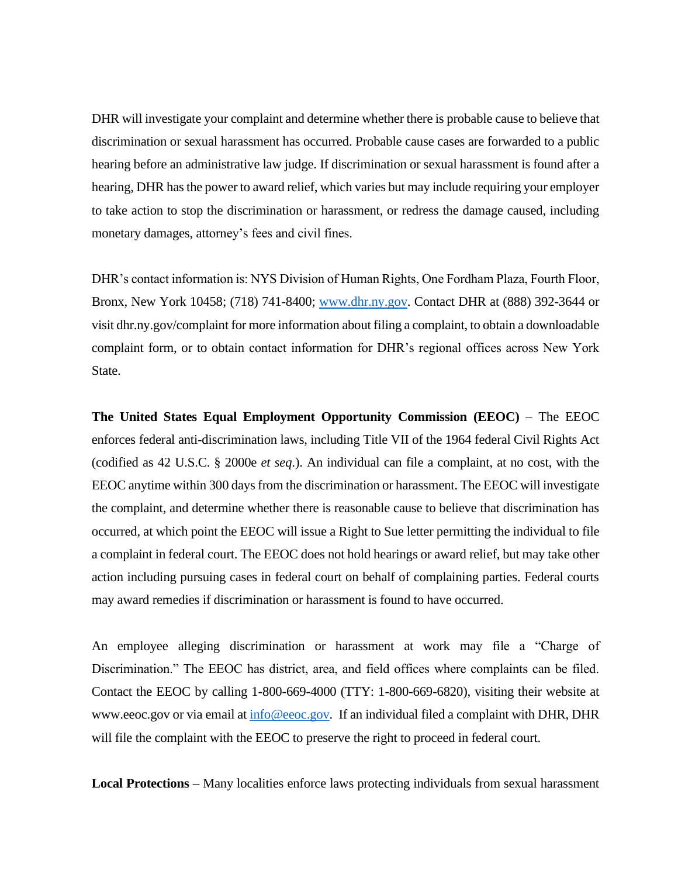DHR will investigate your complaint and determine whether there is probable cause to believe that discrimination or sexual harassment has occurred. Probable cause cases are forwarded to a public hearing before an administrative law judge. If discrimination or sexual harassment is found after a hearing, DHR has the power to award relief, which varies but may include requiring your employer to take action to stop the discrimination or harassment, or redress the damage caused, including monetary damages, attorney's fees and civil fines.

DHR's contact information is: NYS Division of Human Rights, One Fordham Plaza, Fourth Floor, Bronx, New York 10458; (718) 741-8400; [www.dhr.ny.gov.](http://www.dhr.ny.gov/) Contact DHR at (888) 392-3644 or visit dhr.ny.gov/complaint for more information about filing a complaint, to obtain a downloadable complaint form, or to obtain contact information for DHR's regional offices across New York State.

**The United States Equal Employment Opportunity Commission (EEOC)** – The EEOC enforces federal anti-discrimination laws, including Title VII of the 1964 federal Civil Rights Act (codified as 42 U.S.C. § 2000e *et seq*.). An individual can file a complaint, at no cost, with the EEOC anytime within 300 days from the discrimination or harassment. The EEOC will investigate the complaint, and determine whether there is reasonable cause to believe that discrimination has occurred, at which point the EEOC will issue a Right to Sue letter permitting the individual to file a complaint in federal court. The EEOC does not hold hearings or award relief, but may take other action including pursuing cases in federal court on behalf of complaining parties. Federal courts may award remedies if discrimination or harassment is found to have occurred.

An employee alleging discrimination or harassment at work may file a "Charge of Discrimination." The EEOC has district, area, and field offices where complaints can be filed. Contact the EEOC by calling 1-800-669-4000 (TTY: 1-800-669-6820), visiting their website at www.eeoc.gov or via email a[t info@eeoc.gov.](mailto:info@eeoc.gov) If an individual filed a complaint with DHR, DHR will file the complaint with the EEOC to preserve the right to proceed in federal court.

**Local Protections** – Many localities enforce laws protecting individuals from sexual harassment